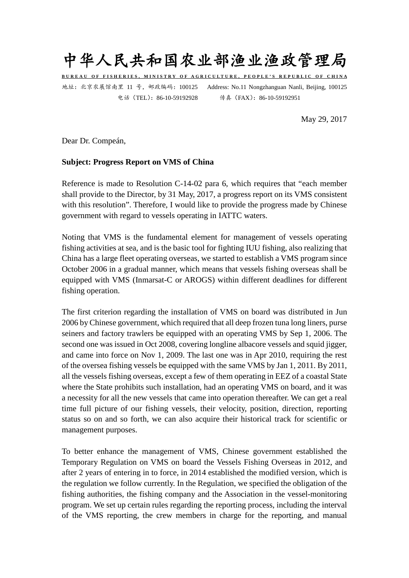

**BUREAU OF FISHERIES, MINISTRY OF AGRICULTURE, PEOPLE'S REPUBLIC OF CHINA** 地址:北京农展馆南里 11 号,邮政编码:100125 Address: No.11 Nongzhanguan Nanli, Beijing, 100125

电话(TEL):86-10-59192928 传真(FAX):86-10-59192951

May 29, 2017

Dear Dr. Compeán,

## **Subject: Progress Report on VMS of China**

Reference is made to Resolution C-14-02 para 6, which requires that "each member shall provide to the Director, by 31 May, 2017, a progress report on its VMS consistent with this resolution". Therefore, I would like to provide the progress made by Chinese government with regard to vessels operating in IATTC waters.

Noting that VMS is the fundamental element for management of vessels operating fishing activities at sea, and is the basic tool for fighting IUU fishing, also realizing that China has a large fleet operating overseas, we started to establish a VMS program since October 2006 in a gradual manner, which means that vessels fishing overseas shall be equipped with VMS (Inmarsat-C or AROGS) within different deadlines for different fishing operation.

The first criterion regarding the installation of VMS on board was distributed in Jun 2006 by Chinese government, which required that all deep frozen tuna long liners, purse seiners and factory trawlers be equipped with an operating VMS by Sep 1, 2006. The second one was issued in Oct 2008, covering longline albacore vessels and squid jigger, and came into force on Nov 1, 2009. The last one was in Apr 2010, requiring the rest of the oversea fishing vessels be equipped with the same VMS by Jan 1, 2011. By 2011, all the vessels fishing overseas, except a few of them operating in EEZ of a coastal State where the State prohibits such installation, had an operating VMS on board, and it was a necessity for all the new vessels that came into operation thereafter. We can get a real time full picture of our fishing vessels, their velocity, position, direction, reporting status so on and so forth, we can also acquire their historical track for scientific or management purposes.

To better enhance the management of VMS, Chinese government established the Temporary Regulation on VMS on board the Vessels Fishing Overseas in 2012, and after 2 years of entering in to force, in 2014 established the modified version, which is the regulation we follow currently. In the Regulation, we specified the obligation of the fishing authorities, the fishing company and the Association in the vessel-monitoring program. We set up certain rules regarding the reporting process, including the interval of the VMS reporting, the crew members in charge for the reporting, and manual